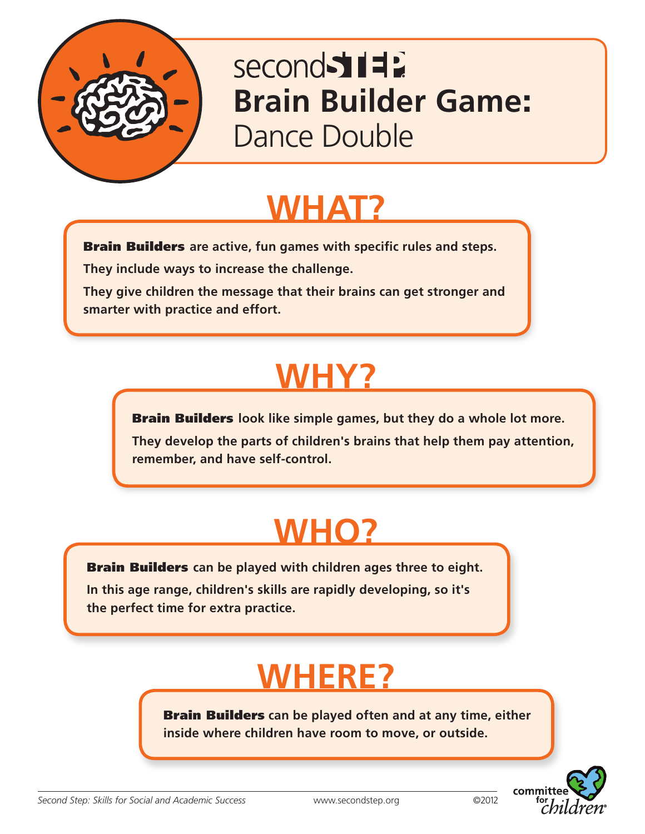

### second 517 **Brain Builder Game**: Dance Double

### **WHAT?**

Brain Builders **are active, fun games with specific rules and steps.**

**They include ways to increase the challenge.** 

**They give children the message that their brains can get stronger and smarter with practice and effort.**

# **WHY?**

Brain Builders **look like simple games, but they do a whole lot more. They develop the parts of children's brains that help them pay attention, remember, and have self-control.**

# **WHO?**

Brain Builders **can be played with children ages three to eight.** 

**In this age range, children's skills are rapidly developing, so it's the perfect time for extra practice.**

# **WHERE?**

Brain Builders **can be played often and at any time, either inside where children have room to move, or outside.**